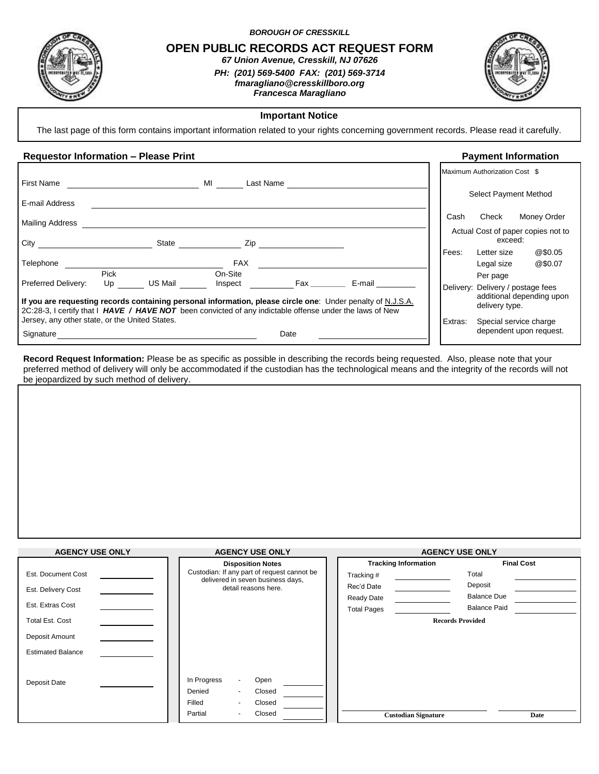

*BOROUGH OF CRESSKILL*

**OPEN PUBLIC RECORDS ACT REQUEST FORM** *67 Union Avenue, Cresskill, NJ 07626*

> *PH: (201) 569-5400 FAX: (201) 569-3714 fmaragliano@cresskillboro.org Francesca Maragliano*



## **Important Notice**

The last page of this form contains important information related to your rights concerning government records. Please read it carefully.

## **Requestor Information – Please Print Payment Information**

|                                                                                                                                                                                                                                                                         |                                                                                                                                                                                                                                |               |         | Maximum Authorization Cost \$                                                                |
|-------------------------------------------------------------------------------------------------------------------------------------------------------------------------------------------------------------------------------------------------------------------------|--------------------------------------------------------------------------------------------------------------------------------------------------------------------------------------------------------------------------------|---------------|---------|----------------------------------------------------------------------------------------------|
| <b>First Name</b>                                                                                                                                                                                                                                                       | MI<br>Last Name                                                                                                                                                                                                                |               |         |                                                                                              |
| E-mail Address                                                                                                                                                                                                                                                          |                                                                                                                                                                                                                                |               |         | Select Payment Method                                                                        |
| Mailing Address                                                                                                                                                                                                                                                         |                                                                                                                                                                                                                                |               | Cash    | Money Order<br>Check                                                                         |
| City<br>State                                                                                                                                                                                                                                                           | Zip and the contract of the contract of the contract of the contract of the contract of the contract of the contract of the contract of the contract of the contract of the contract of the contract of the contract of the co |               |         | Actual Cost of paper copies not to<br>exceed:                                                |
| Telephone                                                                                                                                                                                                                                                               | <b>FAX</b>                                                                                                                                                                                                                     |               | Fees:   | @\$0.05<br>Letter size<br>@\$0.07<br>Legal size                                              |
| Pick<br>US Mail<br>Preferred Delivery:<br>Up<br>If you are requesting records containing personal information, please circle one: Under penalty of N.J.S.A.<br>2C:28-3, I certify that I HAVE / HAVE NOT been convicted of any indictable offense under the laws of New | On-Site<br>Inspect                                                                                                                                                                                                             | E-mail<br>Fax |         | Per page<br>Delivery: Delivery / postage fees<br>additional depending upon<br>delivery type. |
| Jersey, any other state, or the United States.<br>Signature                                                                                                                                                                                                             | Date                                                                                                                                                                                                                           |               | Extras: | Special service charge<br>dependent upon request.                                            |

**Record Request Information:** Please be as specific as possible in describing the records being requested. Also, please note that your preferred method of delivery will only be accommodated if the custodian has the technological means and the integrity of the records will not be jeopardized by such method of delivery.

| <b>AGENCY USE ONLY</b>   | <b>AGENCY USE ONLY</b>                                                           | <b>AGENCY USE ONLY</b>      |                         |  |
|--------------------------|----------------------------------------------------------------------------------|-----------------------------|-------------------------|--|
|                          | <b>Disposition Notes</b>                                                         | <b>Tracking Information</b> | <b>Final Cost</b>       |  |
| Est. Document Cost       | Custodian: If any part of request cannot be<br>delivered in seven business days, | Tracking #                  | Total                   |  |
| Est. Delivery Cost       | detail reasons here.                                                             | Rec'd Date                  | Deposit                 |  |
|                          |                                                                                  | Ready Date                  | <b>Balance Due</b>      |  |
| Est. Extras Cost         |                                                                                  | <b>Total Pages</b>          | <b>Balance Paid</b>     |  |
| <b>Total Est. Cost</b>   |                                                                                  |                             | <b>Records Provided</b> |  |
| Deposit Amount           |                                                                                  |                             |                         |  |
| <b>Estimated Balance</b> |                                                                                  |                             |                         |  |
|                          |                                                                                  |                             |                         |  |
| Deposit Date             | In Progress<br>Open<br>۰                                                         |                             |                         |  |
|                          | Denied<br>Closed<br>$\blacksquare$                                               |                             |                         |  |
|                          | Filled<br>Closed<br>$\blacksquare$                                               |                             |                         |  |
|                          | Closed<br>Partial                                                                | <b>Custodian Signature</b>  | Date                    |  |